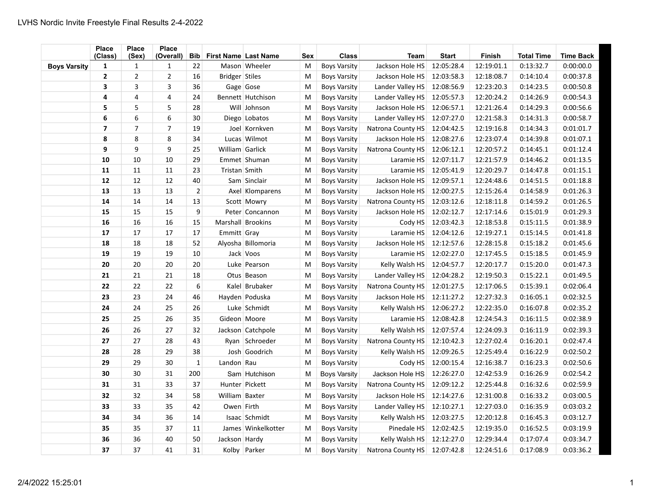|                     | <b>Place</b><br>(Class) | <b>Place</b><br>(Sex) | <b>Place</b><br>(Overall) | <b>Bib</b>     | <b>First Name Last Name</b> |                    | Sex | <b>Class</b>        | Team              | <b>Start</b> | <b>Finish</b> | <b>Total Time</b> | <b>Time Back</b> |
|---------------------|-------------------------|-----------------------|---------------------------|----------------|-----------------------------|--------------------|-----|---------------------|-------------------|--------------|---------------|-------------------|------------------|
| <b>Boys Varsity</b> | 1                       | 1                     | 1                         | 22             |                             | Mason Wheeler      | M   | <b>Boys Varsity</b> | Jackson Hole HS   | 12:05:28.4   | 12:19:01.1    | 0:13:32.7         | 0:00:00.0        |
|                     | $\overline{2}$          | $\overline{2}$        | 2                         | 16             | Bridger Stiles              |                    | M   | <b>Boys Varsity</b> | Jackson Hole HS   | 12:03:58.3   | 12:18:08.7    | 0:14:10.4         | 0:00:37.8        |
|                     | 3                       | $\overline{3}$        | 3                         | 36             | Gage Gose                   |                    | M   | <b>Boys Varsity</b> | Lander Valley HS  | 12:08:56.9   | 12:23:20.3    | 0:14:23.5         | 0:00:50.8        |
|                     | 4                       | $\overline{4}$        | 4                         | 24             |                             | Bennett Hutchison  | M   | <b>Boys Varsity</b> | Lander Valley HS  | 12:05:57.3   | 12:20:24.2    | 0:14:26.9         | 0:00:54.3        |
|                     | 5                       | 5                     | 5                         | 28             |                             | Will Johnson       | M   | <b>Boys Varsity</b> | Jackson Hole HS   | 12:06:57.1   | 12:21:26.4    | 0:14:29.3         | 0:00:56.6        |
|                     | 6                       | 6                     | 6                         | 30             |                             | Diego Lobatos      | M   | <b>Boys Varsity</b> | Lander Valley HS  | 12:07:27.0   | 12:21:58.3    | 0:14:31.3         | 0:00:58.7        |
|                     | $\overline{7}$          | $\overline{7}$        | $\overline{7}$            | 19             |                             | Joel Kornkven      | M   | <b>Boys Varsity</b> | Natrona County HS | 12:04:42.5   | 12:19:16.8    | 0:14:34.3         | 0:01:01.7        |
|                     | 8                       | 8                     | 8                         | 34             |                             | Lucas Wilmot       | M   | <b>Boys Varsity</b> | Jackson Hole HS   | 12:08:27.6   | 12:23:07.4    | 0:14:39.8         | 0:01:07.1        |
|                     | 9                       | 9                     | 9                         | 25             | William Garlick             |                    | M   | <b>Boys Varsity</b> | Natrona County HS | 12:06:12.1   | 12:20:57.2    | 0:14:45.1         | 0:01:12.4        |
|                     | 10                      | 10                    | $10\,$                    | 29             |                             | Emmet Shuman       | M   | <b>Boys Varsity</b> | Laramie HS        | 12:07:11.7   | 12:21:57.9    | 0:14:46.2         | 0:01:13.5        |
|                     | 11                      | 11                    | 11                        | 23             | Tristan Smith               |                    | M   | <b>Boys Varsity</b> | Laramie HS        | 12:05:41.9   | 12:20:29.7    | 0:14:47.8         | 0:01:15.1        |
|                     | 12                      | 12                    | 12                        | 40             |                             | Sam Sinclair       | M   | <b>Boys Varsity</b> | Jackson Hole HS   | 12:09:57.1   | 12:24:48.6    | 0:14:51.5         | 0:01:18.8        |
|                     | 13                      | 13                    | 13                        | $\overline{2}$ |                             | Axel Klomparens    | M   | <b>Boys Varsity</b> | Jackson Hole HS   | 12:00:27.5   | 12:15:26.4    | 0:14:58.9         | 0:01:26.3        |
|                     | 14                      | 14                    | 14                        | 13             |                             | Scott Mowry        | M   | <b>Boys Varsity</b> | Natrona County HS | 12:03:12.6   | 12:18:11.8    | 0:14:59.2         | 0:01:26.5        |
|                     | 15                      | 15                    | 15                        | 9              |                             | Peter Concannon    | M   | <b>Boys Varsity</b> | Jackson Hole HS   | 12:02:12.7   | 12:17:14.6    | 0:15:01.9         | 0:01:29.3        |
|                     | 16                      | 16                    | 16                        | 15             |                             | Marshall Brookins  | M   | <b>Boys Varsity</b> | Cody HS           | 12:03:42.3   | 12:18:53.8    | 0:15:11.5         | 0:01:38.9        |
|                     | 17                      | 17                    | 17                        | 17             | Emmitt Gray                 |                    | M   | <b>Boys Varsity</b> | Laramie HS        | 12:04:12.6   | 12:19:27.1    | 0:15:14.5         | 0:01:41.8        |
|                     | 18                      | 18                    | 18                        | 52             |                             | Alyosha Billomoria | M   | <b>Boys Varsity</b> | Jackson Hole HS   | 12:12:57.6   | 12:28:15.8    | 0:15:18.2         | 0:01:45.6        |
|                     | 19                      | 19                    | 19                        | 10             |                             | Jack Voos          | M   | <b>Boys Varsity</b> | Laramie HS        | 12:02:27.0   | 12:17:45.5    | 0:15:18.5         | 0:01:45.9        |
|                     | 20                      | 20                    | 20                        | 20             |                             | Luke Pearson       | M   | <b>Boys Varsity</b> | Kelly Walsh HS    | 12:04:57.7   | 12:20:17.7    | 0:15:20.0         | 0:01:47.3        |
|                     | 21                      | 21                    | 21                        | 18             |                             | Otus Beason        | M   | <b>Boys Varsity</b> | Lander Valley HS  | 12:04:28.2   | 12:19:50.3    | 0:15:22.1         | 0:01:49.5        |
|                     | 22                      | 22                    | 22                        | 6              |                             | Kalel Brubaker     | M   | <b>Boys Varsity</b> | Natrona County HS | 12:01:27.5   | 12:17:06.5    | 0:15:39.1         | 0:02:06.4        |
|                     | 23                      | 23                    | 24                        | 46             |                             | Hayden Poduska     | M   | <b>Boys Varsity</b> | Jackson Hole HS   | 12:11:27.2   | 12:27:32.3    | 0:16:05.1         | 0:02:32.5        |
|                     | 24                      | 24                    | 25                        | 26             |                             | Luke Schmidt       | M   | <b>Boys Varsity</b> | Kelly Walsh HS    | 12:06:27.2   | 12:22:35.0    | 0:16:07.8         | 0:02:35.2        |
|                     | 25                      | 25                    | 26                        | 35             | Gideon Moore                |                    | M   | <b>Boys Varsity</b> | Laramie HS        | 12:08:42.8   | 12:24:54.3    | 0:16:11.5         | 0:02:38.9        |
|                     | 26                      | 26                    | 27                        | 32             |                             | Jackson Catchpole  | M   | <b>Boys Varsity</b> | Kelly Walsh HS    | 12:07:57.4   | 12:24:09.3    | 0:16:11.9         | 0:02:39.3        |
|                     | 27                      | 27                    | 28                        | 43             |                             | Ryan Schroeder     | M   | <b>Boys Varsity</b> | Natrona County HS | 12:10:42.3   | 12:27:02.4    | 0:16:20.1         | 0:02:47.4        |
|                     | 28                      | 28                    | 29                        | 38             |                             | Josh Goodrich      | M   | <b>Boys Varsity</b> | Kelly Walsh HS    | 12:09:26.5   | 12:25:49.4    | 0:16:22.9         | 0:02:50.2        |
|                     | 29                      | 29                    | 30                        | $\mathbf{1}$   | Landon Rau                  |                    | M   | <b>Boys Varsity</b> | Cody HS           | 12:00:15.4   | 12:16:38.7    | 0:16:23.3         | 0:02:50.6        |
|                     | 30                      | 30                    | 31                        | 200            |                             | Sam Hutchison      | M   | <b>Boys Varsity</b> | Jackson Hole HS   | 12:26:27.0   | 12:42:53.9    | 0:16:26.9         | 0:02:54.2        |
|                     | 31                      | 31                    | 33                        | 37             |                             | Hunter Pickett     | M   | <b>Boys Varsity</b> | Natrona County HS | 12:09:12.2   | 12:25:44.8    | 0:16:32.6         | 0:02:59.9        |
|                     | 32                      | 32                    | 34                        | 58             | William Baxter              |                    | M   | <b>Boys Varsity</b> | Jackson Hole HS   | 12:14:27.6   | 12:31:00.8    | 0:16:33.2         | 0:03:00.5        |
|                     | 33                      | 33                    | 35                        | 42             | Owen Firth                  |                    | M   | <b>Boys Varsity</b> | Lander Valley HS  | 12:10:27.1   | 12:27:03.0    | 0:16:35.9         | 0:03:03.2        |
|                     | 34                      | 34                    | 36                        | 14             |                             | Isaac Schmidt      | M   | <b>Boys Varsity</b> | Kelly Walsh HS    | 12:03:27.5   | 12:20:12.8    | 0:16:45.3         | 0:03:12.7        |
|                     | 35                      | 35                    | 37                        | 11             |                             | James Winkelkotter | M   | <b>Boys Varsity</b> | Pinedale HS       | 12:02:42.5   | 12:19:35.0    | 0:16:52.5         | 0:03:19.9        |
|                     | 36                      | 36                    | 40                        | 50             | Jackson Hardy               |                    | M   | <b>Boys Varsity</b> | Kelly Walsh HS    | 12:12:27.0   | 12:29:34.4    | 0:17:07.4         | 0:03:34.7        |
|                     | 37                      | 37                    | 41                        | 31             |                             | Kolby Parker       | M   | <b>Boys Varsity</b> | Natrona County HS | 12:07:42.8   | 12:24:51.6    | 0:17:08.9         | 0:03:36.2        |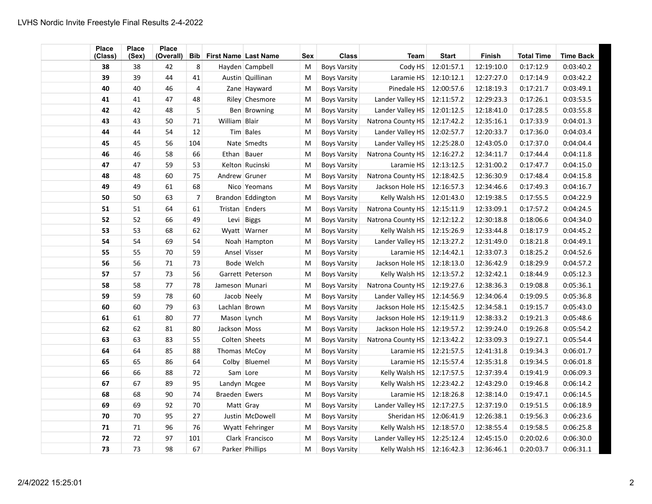| <b>Place</b><br>(Class) | <b>Place</b><br>(Sex) | <b>Place</b><br>(Overall) |                | <b>Bib</b> First Name Last Name |                   | Sex | <b>Class</b>        | <b>Team</b>               | <b>Start</b> | Finish     | <b>Total Time</b> | <b>Time Back</b> |
|-------------------------|-----------------------|---------------------------|----------------|---------------------------------|-------------------|-----|---------------------|---------------------------|--------------|------------|-------------------|------------------|
| 38                      | 38                    | 42                        | 8              |                                 | Hayden Campbell   | M   | <b>Boys Varsity</b> | Cody HS                   | 12:01:57.1   | 12:19:10.0 | 0:17:12.9         | 0:03:40.2        |
| 39                      | 39                    | 44                        | 41             |                                 | Austin Quillinan  | M   | <b>Boys Varsity</b> | Laramie HS                | 12:10:12.1   | 12:27:27.0 | 0:17:14.9         | 0:03:42.2        |
| 40                      | 40                    | 46                        | 4              |                                 | Zane Hayward      | M   | <b>Boys Varsity</b> | Pinedale HS               | 12:00:57.6   | 12:18:19.3 | 0:17:21.7         | 0:03:49.1        |
| 41                      | 41                    | 47                        | 48             |                                 | Riley Chesmore    | M   | <b>Boys Varsity</b> | Lander Valley HS          | 12:11:57.2   | 12:29:23.3 | 0:17:26.1         | 0:03:53.5        |
| 42                      | 42                    | 48                        | 5              |                                 | Ben Browning      | M   | <b>Boys Varsity</b> | Lander Valley HS          | 12:01:12.5   | 12:18:41.0 | 0:17:28.5         | 0:03:55.8        |
| 43                      | 43                    | 50                        | 71             | William Blair                   |                   | M   | <b>Boys Varsity</b> | Natrona County HS         | 12:17:42.2   | 12:35:16.1 | 0:17:33.9         | 0:04:01.3        |
| 44                      | 44                    | 54                        | 12             |                                 | Tim Bales         | M   | <b>Boys Varsity</b> | Lander Valley HS          | 12:02:57.7   | 12:20:33.7 | 0:17:36.0         | 0:04:03.4        |
| 45                      | 45                    | 56                        | 104            |                                 | Nate Smedts       | M   | <b>Boys Varsity</b> | Lander Valley HS          | 12:25:28.0   | 12:43:05.0 | 0:17:37.0         | 0:04:04.4        |
| 46                      | 46                    | 58                        | 66             | Ethan   Bauer                   |                   | M   | <b>Boys Varsity</b> | Natrona County HS         | 12:16:27.2   | 12:34:11.7 | 0:17:44.4         | 0:04:11.8        |
| 47                      | 47                    | 59                        | 53             |                                 | Kelton Rucinski   | M   | <b>Boys Varsity</b> | Laramie HS                | 12:13:12.5   | 12:31:00.2 | 0:17:47.7         | 0:04:15.0        |
| 48                      | 48                    | 60                        | 75             | Andrew Gruner                   |                   | M   | <b>Boys Varsity</b> | Natrona County HS         | 12:18:42.5   | 12:36:30.9 | 0:17:48.4         | 0:04:15.8        |
| 49                      | 49                    | 61                        | 68             |                                 | Nico Yeomans      | M   | <b>Boys Varsity</b> | Jackson Hole HS           | 12:16:57.3   | 12:34:46.6 | 0:17:49.3         | 0:04:16.7        |
| 50                      | 50                    | 63                        | $\overline{7}$ |                                 | Brandon Eddington | M   | <b>Boys Varsity</b> | Kelly Walsh HS            | 12:01:43.0   | 12:19:38.5 | 0:17:55.5         | 0:04:22.9        |
| 51                      | 51                    | 64                        | 61             | Tristan Enders                  |                   | M   | <b>Boys Varsity</b> | Natrona County HS         | 12:15:11.9   | 12:33:09.1 | 0:17:57.2         | 0:04:24.5        |
| 52                      | 52                    | 66                        | 49             |                                 | Levi Biggs        | M   | <b>Boys Varsity</b> | Natrona County HS         | 12:12:12.2   | 12:30:18.8 | 0:18:06.6         | 0:04:34.0        |
| 53                      | 53                    | 68                        | 62             |                                 | Wyatt Warner      | M   | <b>Boys Varsity</b> | Kelly Walsh HS            | 12:15:26.9   | 12:33:44.8 | 0:18:17.9         | 0:04:45.2        |
| 54                      | 54                    | 69                        | 54             |                                 | Noah Hampton      | M   | <b>Boys Varsity</b> | Lander Valley HS          | 12:13:27.2   | 12:31:49.0 | 0:18:21.8         | 0:04:49.1        |
| 55                      | 55                    | 70                        | 59             |                                 | Ansel Visser      | M   | <b>Boys Varsity</b> | Laramie HS                | 12:14:42.1   | 12:33:07.3 | 0:18:25.2         | 0:04:52.6        |
| 56                      | 56                    | 71                        | 73             |                                 | Bode Welch        | M   | <b>Boys Varsity</b> | Jackson Hole HS           | 12:18:13.0   | 12:36:42.9 | 0:18:29.9         | 0:04:57.2        |
| 57                      | 57                    | 73                        | 56             |                                 | Garrett Peterson  | M   | <b>Boys Varsity</b> | Kelly Walsh HS            | 12:13:57.2   | 12:32:42.1 | 0:18:44.9         | 0:05:12.3        |
| 58                      | 58                    | 77                        | 78             | Jameson Munari                  |                   | M   | <b>Boys Varsity</b> | Natrona County HS         | 12:19:27.6   | 12:38:36.3 | 0:19:08.8         | 0:05:36.1        |
| 59                      | 59                    | 78                        | 60             | Jacob Neely                     |                   | M   | <b>Boys Varsity</b> | Lander Valley HS          | 12:14:56.9   | 12:34:06.4 | 0:19:09.5         | 0:05:36.8        |
| 60                      | 60                    | 79                        | 63             | Lachlan Brown                   |                   | M   | <b>Boys Varsity</b> | Jackson Hole HS           | 12:15:42.5   | 12:34:58.1 | 0:19:15.7         | 0:05:43.0        |
| 61                      | 61                    | 80                        | 77             | Mason Lynch                     |                   | M   | <b>Boys Varsity</b> | Jackson Hole HS           | 12:19:11.9   | 12:38:33.2 | 0:19:21.3         | 0:05:48.6        |
| 62                      | 62                    | 81                        | 80             | Jackson Moss                    |                   | M   | <b>Boys Varsity</b> | Jackson Hole HS           | 12:19:57.2   | 12:39:24.0 | 0:19:26.8         | 0:05:54.2        |
| 63                      | 63                    | 83                        | 55             |                                 | Colten Sheets     | M   | <b>Boys Varsity</b> | Natrona County HS         | 12:13:42.2   | 12:33:09.3 | 0:19:27.1         | 0:05:54.4        |
| 64                      | 64                    | 85                        | 88             | Thomas McCoy                    |                   | M   | <b>Boys Varsity</b> | Laramie HS                | 12:21:57.5   | 12:41:31.8 | 0:19:34.3         | 0:06:01.7        |
| 65                      | 65                    | 86                        | 64             |                                 | Colby Bluemel     | M   | <b>Boys Varsity</b> | Laramie HS                | 12:15:57.4   | 12:35:31.8 | 0:19:34.5         | 0:06:01.8        |
| 66                      | 66                    | 88                        | 72             | Sam Lore                        |                   | M   | <b>Boys Varsity</b> | Kelly Walsh HS            | 12:17:57.5   | 12:37:39.4 | 0:19:41.9         | 0:06:09.3        |
| 67                      | 67                    | 89                        | 95             | Landyn Mcgee                    |                   | M   | <b>Boys Varsity</b> | Kelly Walsh HS            | 12:23:42.2   | 12:43:29.0 | 0:19:46.8         | 0:06:14.2        |
| 68                      | 68                    | 90                        | 74             | Braeden Ewers                   |                   | M   | <b>Boys Varsity</b> | Laramie HS                | 12:18:26.8   | 12:38:14.0 | 0:19:47.1         | 0:06:14.5        |
| 69                      | 69                    | 92                        | 70             | Matt Gray                       |                   | M   | <b>Boys Varsity</b> | Lander Valley HS          | 12:17:27.5   | 12:37:19.0 | 0:19:51.5         | 0:06:18.9        |
| 70                      | 70                    | 95                        | 27             |                                 | Justin   McDowell | M   | <b>Boys Varsity</b> | Sheridan HS               | 12:06:41.9   | 12:26:38.1 | 0:19:56.3         | 0:06:23.6        |
| 71                      | 71                    | 96                        | 76             |                                 | Wyatt Fehringer   | M   | <b>Boys Varsity</b> | Kelly Walsh HS            | 12:18:57.0   | 12:38:55.4 | 0:19:58.5         | 0:06:25.8        |
| 72                      | 72                    | 97                        | 101            |                                 | Clark Francisco   | M   | <b>Boys Varsity</b> | Lander Valley HS          | 12:25:12.4   | 12:45:15.0 | 0:20:02.6         | 0:06:30.0        |
| 73                      | 73                    | 98                        | 67             |                                 | Parker Phillips   | M   | <b>Boys Varsity</b> | Kelly Walsh HS 12:16:42.3 |              | 12:36:46.1 | 0:20:03.7         | 0:06:31.1        |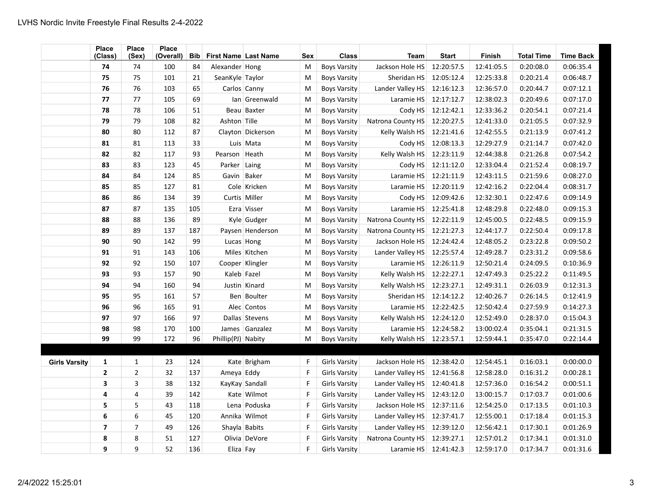|                      | Place<br>(Class)        | <b>Place</b><br>(Sex) | Place<br>(Overall) | <b>Bib</b> | First Name Last Name |                   | <b>Sex</b> | <b>Class</b>         | <b>Team</b>       | <b>Start</b> | <b>Finish</b> | <b>Total Time</b> | <b>Time Back</b> |
|----------------------|-------------------------|-----------------------|--------------------|------------|----------------------|-------------------|------------|----------------------|-------------------|--------------|---------------|-------------------|------------------|
|                      | 74                      | 74                    | 100                | 84         | Alexander Hong       |                   | M          | <b>Boys Varsity</b>  | Jackson Hole HS   | 12:20:57.5   | 12:41:05.5    | 0:20:08.0         | 0:06:35.4        |
|                      | 75                      | 75                    | 101                | 21         | SeanKyle Taylor      |                   | M          | <b>Boys Varsity</b>  | Sheridan HS       | 12:05:12.4   | 12:25:33.8    | 0:20:21.4         | 0:06:48.7        |
|                      | 76                      | 76                    | 103                | 65         |                      | Carlos Canny      | M          | <b>Boys Varsity</b>  | Lander Valley HS  | 12:16:12.3   | 12:36:57.0    | 0:20:44.7         | 0:07:12.1        |
|                      | 77                      | 77                    | 105                | 69         |                      | Ian Greenwald     | M          | <b>Boys Varsity</b>  | Laramie HS        | 12:17:12.7   | 12:38:02.3    | 0:20:49.6         | 0:07:17.0        |
|                      | 78                      | 78                    | 106                | 51         |                      | Beau Baxter       | M          | <b>Boys Varsity</b>  | Cody HS           | 12:12:42.1   | 12:33:36.2    | 0:20:54.1         | 0:07:21.4        |
|                      | 79                      | 79                    | 108                | 82         | Ashton Tille         |                   | M          | <b>Boys Varsity</b>  | Natrona County HS | 12:20:27.5   | 12:41:33.0    | 0:21:05.5         | 0:07:32.9        |
|                      | 80                      | 80                    | 112                | 87         |                      | Clayton Dickerson | M          | <b>Boys Varsity</b>  | Kelly Walsh HS    | 12:21:41.6   | 12:42:55.5    | 0:21:13.9         | 0:07:41.2        |
|                      | 81                      | 81                    | 113                | 33         |                      | Luis Mata         | M          | <b>Boys Varsity</b>  | Cody HS           | 12:08:13.3   | 12:29:27.9    | 0:21:14.7         | 0:07:42.0        |
|                      | 82                      | 82                    | 117                | 93         | Pearson Heath        |                   | M          | <b>Boys Varsity</b>  | Kelly Walsh HS    | 12:23:11.9   | 12:44:38.8    | 0:21:26.8         | 0:07:54.2        |
|                      | 83                      | 83                    | 123                | 45         | Parker Laing         |                   | M          | <b>Boys Varsity</b>  | Cody HS           | 12:11:12.0   | 12:33:04.4    | 0:21:52.4         | 0:08:19.7        |
|                      | 84                      | 84                    | 124                | 85         | Gavin Baker          |                   | M          | <b>Boys Varsity</b>  | Laramie HS        | 12:21:11.9   | 12:43:11.5    | 0:21:59.6         | 0:08:27.0        |
|                      | 85                      | 85                    | 127                | 81         |                      | Cole Kricken      | M          | <b>Boys Varsity</b>  | Laramie HS        | 12:20:11.9   | 12:42:16.2    | 0:22:04.4         | 0:08:31.7        |
|                      | 86                      | 86                    | 134                | 39         |                      | Curtis Miller     | M          | <b>Boys Varsity</b>  | Cody HS           | 12:09:42.6   | 12:32:30.1    | 0:22:47.6         | 0:09:14.9        |
|                      | 87                      | 87                    | 135                | 105        |                      | Ezra Visser       | M          | <b>Boys Varsity</b>  | Laramie HS        | 12:25:41.8   | 12:48:29.8    | 0:22:48.0         | 0:09:15.3        |
|                      | 88                      | 88                    | 136                | 89         |                      | Kyle Gudger       | M          | <b>Boys Varsity</b>  | Natrona County HS | 12:22:11.9   | 12:45:00.5    | 0:22:48.5         | 0:09:15.9        |
|                      | 89                      | 89                    | 137                | 187        |                      | Paysen Henderson  | M          | <b>Boys Varsity</b>  | Natrona County HS | 12:21:27.3   | 12:44:17.7    | 0:22:50.4         | 0:09:17.8        |
|                      | 90                      | 90                    | 142                | 99         |                      | Lucas Hong        | M          | <b>Boys Varsity</b>  | Jackson Hole HS   | 12:24:42.4   | 12:48:05.2    | 0:23:22.8         | 0:09:50.2        |
|                      | 91                      | 91                    | 143                | 106        |                      | Miles Kitchen     | M          | <b>Boys Varsity</b>  | Lander Valley HS  | 12:25:57.4   | 12:49:28.7    | 0:23:31.2         | 0:09:58.6        |
|                      | 92                      | 92                    | 150                | 107        |                      | Cooper Klingler   | M          | <b>Boys Varsity</b>  | Laramie HS        | 12:26:11.9   | 12:50:21.4    | 0:24:09.5         | 0:10:36.9        |
|                      | 93                      | 93                    | 157                | 90         | Kaleb Fazel          |                   | M          | <b>Boys Varsity</b>  | Kelly Walsh HS    | 12:22:27.1   | 12:47:49.3    | 0:25:22.2         | 0:11:49.5        |
|                      | 94                      | 94                    | 160                | 94         |                      | Justin Kinard     | M          | <b>Boys Varsity</b>  | Kelly Walsh HS    | 12:23:27.1   | 12:49:31.1    | 0:26:03.9         | 0:12:31.3        |
|                      | 95                      | 95                    | 161                | 57         |                      | Ben Boulter       | M          | <b>Boys Varsity</b>  | Sheridan HS       | 12:14:12.2   | 12:40:26.7    | 0:26:14.5         | 0:12:41.9        |
|                      | 96                      | 96                    | 165                | 91         |                      | Alec Contos       | M          | <b>Boys Varsity</b>  | Laramie HS        | 12:22:42.5   | 12:50:42.4    | 0:27:59.9         | 0:14:27.3        |
|                      | 97                      | 97                    | 166                | 97         |                      | Dallas Stevens    | M          | <b>Boys Varsity</b>  | Kelly Walsh HS    | 12:24:12.0   | 12:52:49.0    | 0:28:37.0         | 0:15:04.3        |
|                      | 98                      | 98                    | 170                | 100        |                      | James Ganzalez    | M          | <b>Boys Varsity</b>  | Laramie HS        | 12:24:58.2   | 13:00:02.4    | 0:35:04.1         | 0:21:31.5        |
|                      | 99                      | 99                    | 172                | 96         | Phillip(PJ) Nabity   |                   | M          | <b>Boys Varsity</b>  | Kelly Walsh HS    | 12:23:57.1   | 12:59:44.1    | 0:35:47.0         | 0:22:14.4        |
|                      |                         |                       |                    |            |                      |                   |            |                      |                   |              |               |                   |                  |
| <b>Girls Varsity</b> | 1                       | $\mathbf{1}$          | 23                 | 124        |                      | Kate Brigham      | F          | <b>Girls Varsity</b> | Jackson Hole HS   | 12:38:42.0   | 12:54:45.1    | 0:16:03.1         | 0:00:00.0        |
|                      | $\overline{2}$          | $\overline{2}$        | 32                 | 137        | Ameya Eddy           |                   | F          | <b>Girls Varsity</b> | Lander Valley HS  | 12:41:56.8   | 12:58:28.0    | 0:16:31.2         | 0:00:28.1        |
|                      | 3                       | 3                     | 38                 | 132        |                      | KayKay Sandall    | F          | <b>Girls Varsity</b> | Lander Valley HS  | 12:40:41.8   | 12:57:36.0    | 0:16:54.2         | 0:00:51.1        |
|                      | 4                       | $\overline{4}$        | 39                 | 142        |                      | Kate Wilmot       | F          | <b>Girls Varsity</b> | Lander Valley HS  | 12:43:12.0   | 13:00:15.7    | 0:17:03.7         | 0:01:00.6        |
|                      | 5                       | 5                     | 43                 | 118        |                      | Lena Poduska      | F          | <b>Girls Varsity</b> | Jackson Hole HS   | 12:37:11.6   | 12:54:25.0    | 0:17:13.5         | 0:01:10.3        |
|                      | 6                       | 6                     | 45                 | 120        |                      | Annika Wilmot     | F          | <b>Girls Varsity</b> | Lander Valley HS  | 12:37:41.7   | 12:55:00.1    | 0:17:18.4         | 0:01:15.3        |
|                      | $\overline{\mathbf{z}}$ | $\overline{7}$        | 49                 | 126        |                      | Shayla Babits     | F          | <b>Girls Varsity</b> | Lander Valley HS  | 12:39:12.0   | 12:56:42.1    | 0:17:30.1         | 0:01:26.9        |
|                      | 8                       | 8                     | 51                 | 127        |                      | Olivia DeVore     | F          | <b>Girls Varsity</b> | Natrona County HS | 12:39:27.1   | 12:57:01.2    | 0:17:34.1         | 0:01:31.0        |
|                      | 9                       | 9                     | 52                 | 136        | Eliza Fay            |                   | F          | <b>Girls Varsity</b> | Laramie HS        | 12:41:42.3   | 12:59:17.0    | 0:17:34.7         | 0:01:31.6        |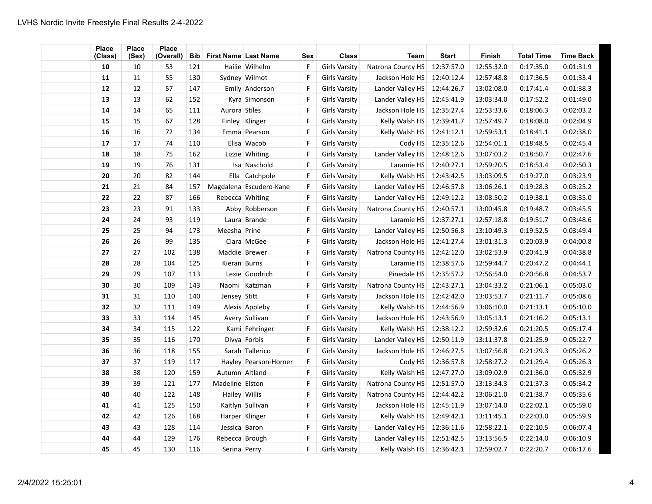| <b>Place</b><br>(Class) | <b>Place</b><br>(Sex) | <b>Place</b><br>(Overall) |     | <b>Bib</b> First Name Last Name |                         | Sex          | <b>Class</b>         | <b>Team</b>                 | <b>Start</b> | <b>Finish</b> | <b>Total Time</b> | <b>Time Back</b> |
|-------------------------|-----------------------|---------------------------|-----|---------------------------------|-------------------------|--------------|----------------------|-----------------------------|--------------|---------------|-------------------|------------------|
| 10                      | 10                    | 53                        | 121 |                                 | Hailie   Wilhelm        | F            | <b>Girls Varsity</b> | Natrona County HS           | 12:37:57.0   | 12:55:32.0    | 0:17:35.0         | 0:01:31.9        |
| 11                      | 11                    | 55                        | 130 |                                 | Sydney Wilmot           | F            | <b>Girls Varsity</b> | Jackson Hole HS             | 12:40:12.4   | 12:57:48.8    | 0:17:36.5         | 0:01:33.4        |
| 12                      | 12                    | 57                        | 147 |                                 | Emily Anderson          | $\mathsf{F}$ | <b>Girls Varsity</b> | Lander Valley HS            | 12:44:26.7   | 13:02:08.0    | 0:17:41.4         | 0:01:38.3        |
| 13                      | 13                    | 62                        | 152 |                                 | Kyra Simonson           | $\mathsf{F}$ | <b>Girls Varsity</b> | Lander Valley HS            | 12:45:41.9   | 13:03:34.0    | 0:17:52.2         | 0:01:49.0        |
| 14                      | 14                    | 65                        | 111 | Aurora Stiles                   |                         | $\mathsf{F}$ | <b>Girls Varsity</b> | Jackson Hole HS             | 12:35:27.4   | 12:53:33.6    | 0:18:06.3         | 0:02:03.2        |
| 15                      | 15                    | 67                        | 128 |                                 | Finley   Klinger        | $\mathsf{F}$ | <b>Girls Varsity</b> | Kelly Walsh HS              | 12:39:41.7   | 12:57:49.7    | 0:18:08.0         | 0:02:04.9        |
| 16                      | 16                    | 72                        | 134 |                                 | Emma Pearson            | $\mathsf F$  | <b>Girls Varsity</b> | Kelly Walsh HS              | 12:41:12.1   | 12:59:53.1    | 0:18:41.1         | 0:02:38.0        |
| 17                      | 17                    | 74                        | 110 |                                 | Elisa Wacob             | $\mathsf F$  | <b>Girls Varsity</b> | Cody HS                     | 12:35:12.6   | 12:54:01.1    | 0:18:48.5         | 0:02:45.4        |
| 18                      | 18                    | 75                        | 162 |                                 | Lizzie Whiting          | $\mathsf{F}$ | <b>Girls Varsity</b> | Lander Valley HS            | 12:48:12.6   | 13:07:03.2    | 0:18:50.7         | 0:02:47.6        |
| 19                      | 19                    | 76                        | 131 |                                 | Isa Naschold            | F            | Girls Varsity        | Laramie HS                  | 12:40:27.1   | 12:59:20.5    | 0:18:53.4         | 0:02:50.3        |
| 20                      | 20                    | 82                        | 144 |                                 | Ella Catchpole          | $\mathsf{F}$ | <b>Girls Varsity</b> | Kelly Walsh HS              | 12:43:42.5   | 13:03:09.5    | 0:19:27.0         | 0:03:23.9        |
| 21                      | 21                    | 84                        | 157 |                                 | Magdalena Escudero-Kane | F            | Girls Varsity        | Lander Valley HS            | 12:46:57.8   | 13:06:26.1    | 0:19:28.3         | 0:03:25.2        |
| 22                      | 22                    | 87                        | 166 | Rebecca Whiting                 |                         | F            | <b>Girls Varsity</b> | Lander Valley HS            | 12:49:12.2   | 13:08:50.2    | 0:19:38.1         | 0:03:35.0        |
| 23                      | 23                    | 91                        | 133 |                                 | Abby Robberson          | $\mathsf{F}$ | <b>Girls Varsity</b> | Natrona County HS           | 12:40:57.1   | 13:00:45.8    | 0:19:48.7         | 0:03:45.5        |
| 24                      | 24                    | 93                        | 119 |                                 | Laura Brande            | $\mathsf{F}$ | <b>Girls Varsity</b> | Laramie HS                  | 12:37:27.1   | 12:57:18.8    | 0:19:51.7         | 0:03:48.6        |
| 25                      | 25                    | 94                        | 173 | Meesha Prine                    |                         | F            | <b>Girls Varsity</b> | Lander Valley HS            | 12:50:56.8   | 13:10:49.3    | 0:19:52.5         | 0:03:49.4        |
| 26                      | 26                    | 99                        | 135 |                                 | Clara McGee             | $\mathsf{F}$ | <b>Girls Varsity</b> | Jackson Hole HS             | 12:41:27.4   | 13:01:31.3    | 0:20:03.9         | 0:04:00.8        |
| 27                      | 27                    | 102                       | 138 | Maddie Brewer                   |                         | $\mathsf{F}$ | <b>Girls Varsity</b> | Natrona County HS           | 12:42:12.0   | 13:02:53.9    | 0:20:41.9         | 0:04:38.8        |
| 28                      | 28                    | 104                       | 125 | Kieran Burns                    |                         | F            | <b>Girls Varsity</b> | Laramie HS                  | 12:38:57.6   | 12:59:44.7    | 0:20:47.2         | 0:04:44.1        |
| 29                      | 29                    | 107                       | 113 |                                 | Lexie Goodrich          | F            | <b>Girls Varsity</b> | Pinedale HS                 | 12:35:57.2   | 12:56:54.0    | 0:20:56.8         | 0:04:53.7        |
| 30                      | 30                    | 109                       | 143 |                                 | Naomi Katzman           | $\mathsf{F}$ | <b>Girls Varsity</b> | Natrona County HS           | 12:43:27.1   | 13:04:33.2    | 0:21:06.1         | 0:05:03.0        |
| 31                      | $31\,$                | 110                       | 140 | Jensey Stitt                    |                         | F            | <b>Girls Varsity</b> | Jackson Hole HS             | 12:42:42.0   | 13:03:53.7    | 0:21:11.7         | 0:05:08.6        |
| 32                      | 32                    | 111                       | 149 |                                 | Alexis Appleby          | $\mathsf{F}$ | <b>Girls Varsity</b> | Kelly Walsh HS              | 12:44:56.9   | 13:06:10.0    | 0:21:13.1         | 0:05:10.0        |
| 33                      | 33                    | 114                       | 145 |                                 | Avery Sullivan          | $\mathsf{F}$ | <b>Girls Varsity</b> | Jackson Hole HS             | 12:43:56.9   | 13:05:13.1    | 0:21:16.2         | 0:05:13.1        |
| 34                      | 34                    | 115                       | 122 |                                 | Kami Fehringer          | F            | <b>Girls Varsity</b> | Kelly Walsh HS              | 12:38:12.2   | 12:59:32.6    | 0:21:20.5         | 0:05:17.4        |
| 35                      | 35                    | 116                       | 170 |                                 | Divya Forbis            | $\mathsf{F}$ | <b>Girls Varsity</b> | Lander Valley HS            | 12:50:11.9   | 13:11:37.8    | 0:21:25.9         | 0:05:22.7        |
| 36                      | 36                    | 118                       | 155 |                                 | Sarah Tallerico         | $\mathsf{F}$ | <b>Girls Varsity</b> | Jackson Hole HS             | 12:46:27.5   | 13:07:56.8    | 0:21:29.3         | 0:05:26.2        |
| 37                      | 37                    | 119                       | 117 |                                 | Hayley Pearson-Horner   | $\mathsf{F}$ | <b>Girls Varsity</b> | Cody HS                     | 12:36:57.8   | 12:58:27.2    | 0:21:29.4         | 0:05:26.3        |
| 38                      | 38                    | 120                       | 159 | Autumn Altland                  |                         | $\mathsf{F}$ | <b>Girls Varsity</b> | Kelly Walsh HS              | 12:47:27.0   | 13:09:02.9    | 0:21:36.0         | 0:05:32.9        |
| 39                      | 39                    | 121                       | 177 | Madeline Elston                 |                         | $\mathsf{F}$ | <b>Girls Varsity</b> | Natrona County HS           | 12:51:57.0   | 13:13:34.3    | 0:21:37.3         | 0:05:34.2        |
| 40                      | 40                    | 122                       | 148 | Hailey Willis                   |                         | $\mathsf{F}$ | <b>Girls Varsity</b> | Natrona County HS           | 12:44:42.2   | 13:06:21.0    | 0:21:38.7         | 0:05:35.6        |
| 41                      | 41                    | 125                       | 150 |                                 | Kaitlyn Sullivan        | $\mathsf{F}$ | <b>Girls Varsity</b> | Jackson Hole HS             | 12:45:11.9   | 13:07:14.0    | 0:22:02.1         | 0:05:59.0        |
| 42                      | 42                    | 126                       | 168 |                                 | Harper Klinger          | $\mathsf F$  | <b>Girls Varsity</b> | Kelly Walsh HS              | 12:49:42.1   | 13:11:45.1    | 0:22:03.0         | 0:05:59.9        |
| 43                      | 43                    | 128                       | 114 | Jessica Baron                   |                         | $\mathsf F$  | <b>Girls Varsity</b> | Lander Valley HS            | 12:36:11.6   | 12:58:22.1    | 0:22:10.5         | 0:06:07.4        |
| 44                      | 44                    | 129                       | 176 | Rebecca Brough                  |                         | $\mathsf{F}$ | <b>Girls Varsity</b> | Lander Valley HS            | 12:51:42.5   | 13:13:56.5    | 0:22:14.0         | 0:06:10.9        |
| 45                      | 45                    | 130                       | 116 | Serina Perry                    |                         | $\mathsf{F}$ | Girls Varsity        | Kelly Walsh $HS$ 12:36:42.1 |              | 12:59:02.7    | 0:22:20.7         | 0:06:17.6        |